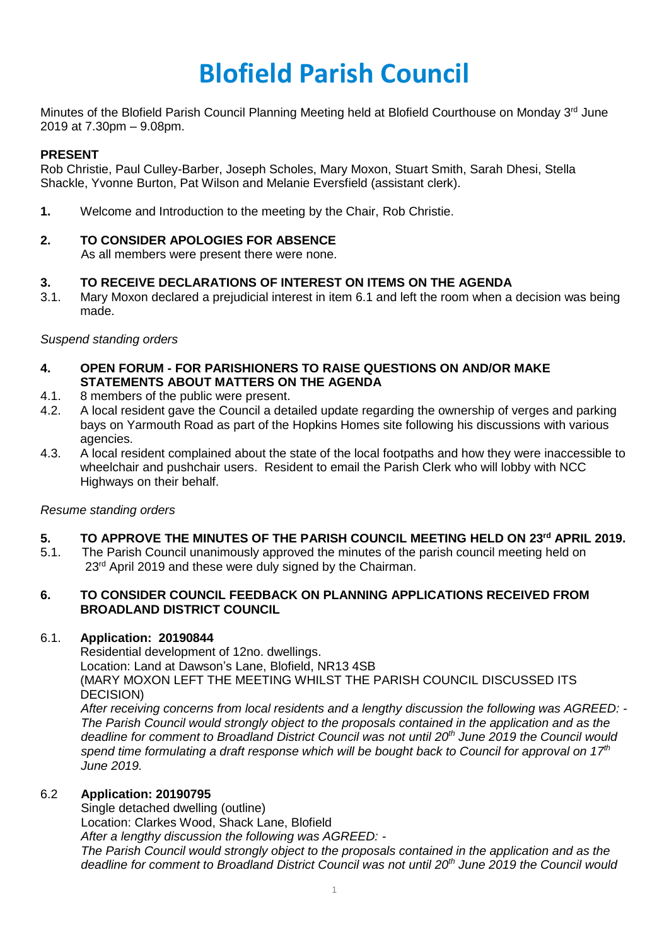# **Blofield Parish Council**

Minutes of the Blofield Parish Council Planning Meeting held at Blofield Courthouse on Monday 3<sup>rd</sup> June 2019 at 7.30pm – 9.08pm.

## **PRESENT**

Rob Christie, Paul Culley-Barber, Joseph Scholes, Mary Moxon, Stuart Smith, Sarah Dhesi, Stella Shackle, Yvonne Burton, Pat Wilson and Melanie Eversfield (assistant clerk).

**1.** Welcome and Introduction to the meeting by the Chair, Rob Christie.

# **2. TO CONSIDER APOLOGIES FOR ABSENCE**

As all members were present there were none.

#### **3. TO RECEIVE DECLARATIONS OF INTEREST ON ITEMS ON THE AGENDA**

3.1. Mary Moxon declared a prejudicial interest in item 6.1 and left the room when a decision was being made.

#### *Suspend standing orders*

- **4. OPEN FORUM - FOR PARISHIONERS TO RAISE QUESTIONS ON AND/OR MAKE STATEMENTS ABOUT MATTERS ON THE AGENDA**
- 4.1. 8 members of the public were present.
- 4.2. A local resident gave the Council a detailed update regarding the ownership of verges and parking bays on Yarmouth Road as part of the Hopkins Homes site following his discussions with various agencies.
- 4.3. A local resident complained about the state of the local footpaths and how they were inaccessible to wheelchair and pushchair users. Resident to email the Parish Clerk who will lobby with NCC Highways on their behalf.

#### *Resume standing orders*

#### **5. TO APPROVE THE MINUTES OF THE PARISH COUNCIL MEETING HELD ON 23rd APRIL 2019.**

5.1. The Parish Council unanimously approved the minutes of the parish council meeting held on 23<sup>rd</sup> April 2019 and these were duly signed by the Chairman.

#### **6. TO CONSIDER COUNCIL FEEDBACK ON PLANNING APPLICATIONS RECEIVED FROM BROADLAND DISTRICT COUNCIL**

#### 6.1. **Application: 20190844**

Residential development of 12no. dwellings. Location: Land at Dawson's Lane, Blofield, NR13 4SB (MARY MOXON LEFT THE MEETING WHILST THE PARISH COUNCIL DISCUSSED ITS DECISION)

*After receiving concerns from local residents and a lengthy discussion the following was AGREED: - The Parish Council would strongly object to the proposals contained in the application and as the deadline for comment to Broadland District Council was not until 20th June 2019 the Council would*  spend time formulating a draft response which will be bought back to Council for approval on 17<sup>th</sup> *June 2019.*

#### 6.2 **Application: 20190795**

Single detached dwelling (outline)

Location: Clarkes Wood, Shack Lane, Blofield

*After a lengthy discussion the following was AGREED: -*

*The Parish Council would strongly object to the proposals contained in the application and as the deadline for comment to Broadland District Council was not until 20th June 2019 the Council would*